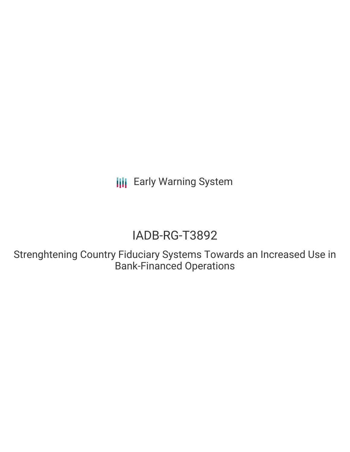**III** Early Warning System

# IADB-RG-T3892

Strenghtening Country Fiduciary Systems Towards an Increased Use in Bank-Financed Operations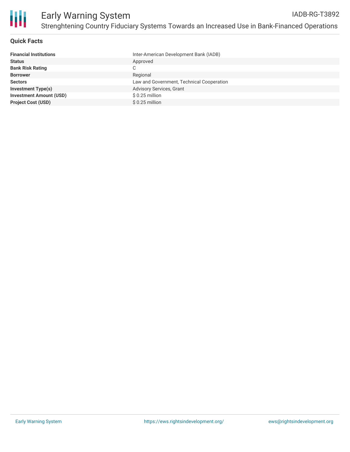

#### **Quick Facts**

| <b>Financial Institutions</b>  | Inter-American Development Bank (IADB)    |
|--------------------------------|-------------------------------------------|
| <b>Status</b>                  | Approved                                  |
| <b>Bank Risk Rating</b>        | С                                         |
| <b>Borrower</b>                | Regional                                  |
| <b>Sectors</b>                 | Law and Government, Technical Cooperation |
| <b>Investment Type(s)</b>      | <b>Advisory Services, Grant</b>           |
| <b>Investment Amount (USD)</b> | $$0.25$ million                           |
| <b>Project Cost (USD)</b>      | $$0.25$ million                           |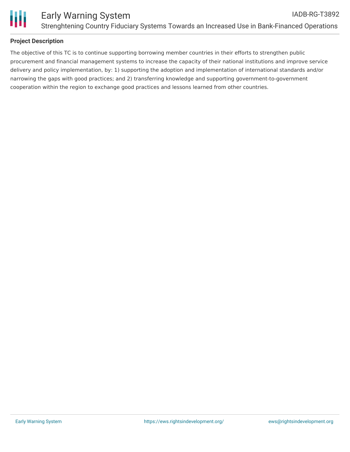

## **Project Description**

The objective of this TC is to continue supporting borrowing member countries in their efforts to strengthen public procurement and financial management systems to increase the capacity of their national institutions and improve service delivery and policy implementation, by: 1) supporting the adoption and implementation of international standards and/or narrowing the gaps with good practices; and 2) transferring knowledge and supporting government-to-government cooperation within the region to exchange good practices and lessons learned from other countries.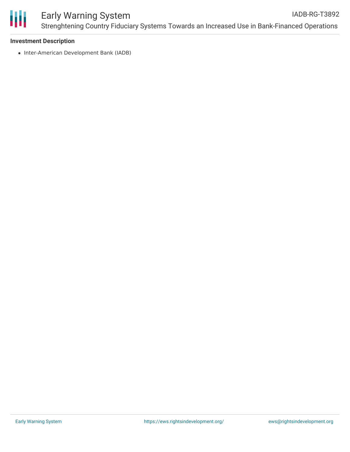

#### **Investment Description**

• Inter-American Development Bank (IADB)